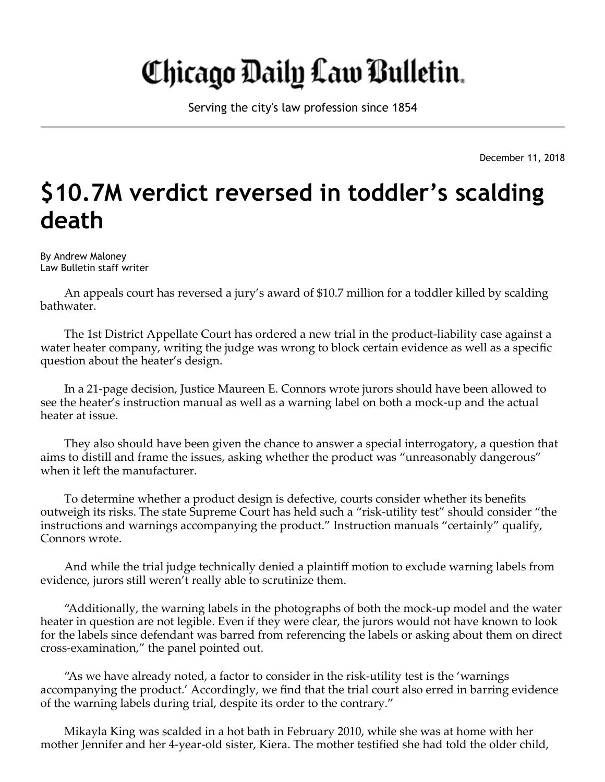## Chicago Daily Law Bulletin.

Serving the city's law profession since 1854

December 11, 2018

## **\$10.7M verdict reversed in toddler's scalding death**

By Andrew Maloney Law Bulletin staff writer

An appeals court has reversed a jury's award of \$10.7 million for a toddler killed by scalding bathwater.

The 1st District Appellate Court has ordered a new trial in the product-liability case against a water heater company, writing the judge was wrong to block certain evidence as well as a specific question about the heater's design.

In a 21-page decision, Justice Maureen E. Connors wrote jurors should have been allowed to see the heater's instruction manual as well as a warning label on both a mock-up and the actual heater at issue.

They also should have been given the chance to answer a special interrogatory, a question that aims to distill and frame the issues, asking whether the product was "unreasonably dangerous" when it left the manufacturer.

To determine whether a product design is defective, courts consider whether its benefits outweigh its risks. The state Supreme Court has held such a "risk-utility test" should consider "the instructions and warnings accompanying the product." Instruction manuals "certainly" qualify, Connors wrote.

And while the trial judge technically denied a plaintiff motion to exclude warning labels from evidence, jurors still weren't really able to scrutinize them.

"Additionally, the warning labels in the photographs of both the mock-up model and the water heater in question are not legible. Even if they were clear, the jurors would not have known to look for the labels since defendant was barred from referencing the labels or asking about them on direct cross-examination," the panel pointed out.

"As we have already noted, a factor to consider in the risk-utility test is the 'warnings accompanying the product.' Accordingly, we find that the trial court also erred in barring evidence of the warning labels during trial, despite its order to the contrary."

Mikayla King was scalded in a hot bath in February 2010, while she was at home with her mother Jennifer and her 4-year-old sister, Kiera. The mother testified she had told the older child,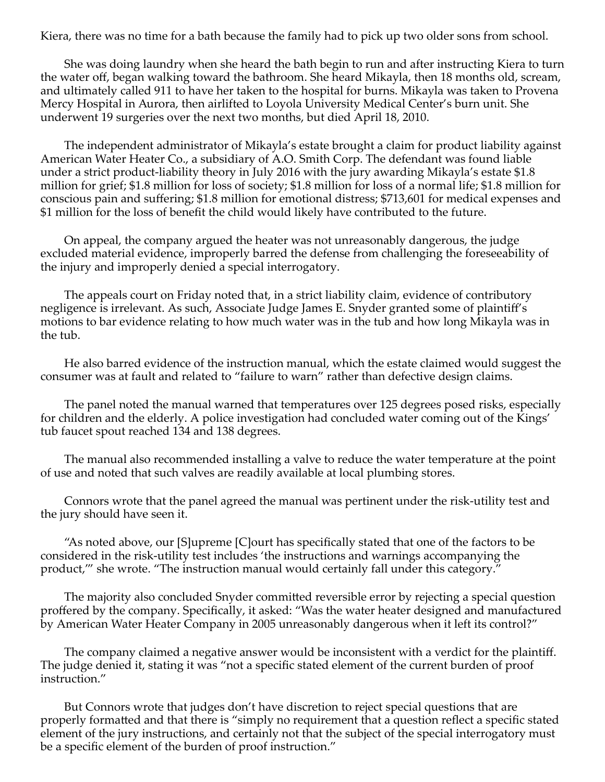Kiera, there was no time for a bath because the family had to pick up two older sons from school.

She was doing laundry when she heard the bath begin to run and after instructing Kiera to turn the water off, began walking toward the bathroom. She heard Mikayla, then 18 months old, scream, and ultimately called 911 to have her taken to the hospital for burns. Mikayla was taken to Provena Mercy Hospital in Aurora, then airlifted to Loyola University Medical Center's burn unit. She underwent 19 surgeries over the next two months, but died April 18, 2010.

The independent administrator of Mikayla's estate brought a claim for product liability against American Water Heater Co., a subsidiary of A.O. Smith Corp. The defendant was found liable under a strict product-liability theory in July 2016 with the jury awarding Mikayla's estate \$1.8 million for grief; \$1.8 million for loss of society; \$1.8 million for loss of a normal life; \$1.8 million for conscious pain and suffering; \$1.8 million for emotional distress; \$713,601 for medical expenses and \$1 million for the loss of benefit the child would likely have contributed to the future.

On appeal, the company argued the heater was not unreasonably dangerous, the judge excluded material evidence, improperly barred the defense from challenging the foreseeability of the injury and improperly denied a special interrogatory.

The appeals court on Friday noted that, in a strict liability claim, evidence of contributory negligence is irrelevant. As such, Associate Judge James E. Snyder granted some of plaintiff's motions to bar evidence relating to how much water was in the tub and how long Mikayla was in the tub.

He also barred evidence of the instruction manual, which the estate claimed would suggest the consumer was at fault and related to "failure to warn" rather than defective design claims.

The panel noted the manual warned that temperatures over 125 degrees posed risks, especially for children and the elderly. A police investigation had concluded water coming out of the Kings' tub faucet spout reached 134 and 138 degrees.

The manual also recommended installing a valve to reduce the water temperature at the point of use and noted that such valves are readily available at local plumbing stores.

Connors wrote that the panel agreed the manual was pertinent under the risk-utility test and the jury should have seen it.

"As noted above, our [S]upreme [C]ourt has specifically stated that one of the factors to be considered in the risk-utility test includes 'the instructions and warnings accompanying the product,'" she wrote. "The instruction manual would certainly fall under this category."

The majority also concluded Snyder committed reversible error by rejecting a special question proffered by the company. Specifically, it asked: "Was the water heater designed and manufactured by American Water Heater Company in 2005 unreasonably dangerous when it left its control?"

The company claimed a negative answer would be inconsistent with a verdict for the plaintiff. The judge denied it, stating it was "not a specific stated element of the current burden of proof instruction."

But Connors wrote that judges don't have discretion to reject special questions that are properly formatted and that there is "simply no requirement that a question reflect a specific stated element of the jury instructions, and certainly not that the subject of the special interrogatory must be a specific element of the burden of proof instruction."